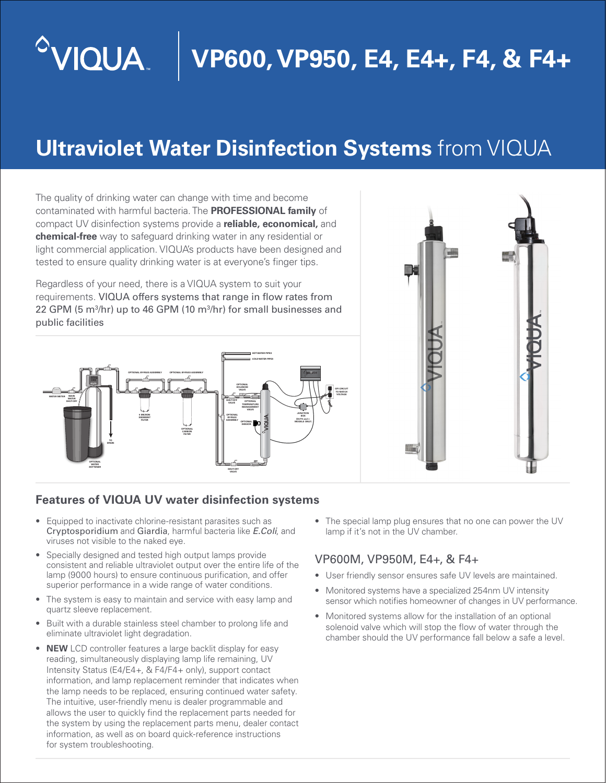## $^{\circ}$ VIQUA **VP600, VP950, E4, E4+, F4, & F4+**

# **Ultraviolet Water Disinfection Systems** from VIQUA

The quality of drinking water can change with time and become contaminated with harmful bacteria. The **PROFESSIONAL family** of compact UV disinfection systems provide a **reliable, economical,** and **chemical-free** way to safeguard drinking water in any residential or light commercial application. VIQUA's products have been designed and tested to ensure quality drinking water is at everyone's finger tips.

Regardless of your need, there is a VIQUA system to suit your requirements. VIQUA offers systems that range in flow rates from 22 GPM (5 m<sup>3</sup>/hr) up to 46 GPM (10 m<sup>3</sup>/hr) for small businesses and public facilities





#### **Features of VIQUA UV water disinfection systems**

- Equipped to inactivate chlorine-resistant parasites such as Cryptosporidium and Giardia, harmful bacteria like *E.Coli*, and viruses not visible to the naked eye.
- Specially designed and tested high output lamps provide consistent and reliable ultraviolet output over the entire life of the lamp (9000 hours) to ensure continuous purification, and offer superior performance in a wide range of water conditions.
- The system is easy to maintain and service with easy lamp and quartz sleeve replacement.
- Built with a durable stainless steel chamber to prolong life and eliminate ultraviolet light degradation.
- **NEW** LCD controller features a large backlit display for easy reading, simultaneously displaying lamp life remaining, UV Intensity Status (E4/E4+, & F4/F4+ only), support contact information, and lamp replacement reminder that indicates when the lamp needs to be replaced, ensuring continued water safety. The intuitive, user-friendly menu is dealer programmable and allows the user to quickly find the replacement parts needed for the system by using the replacement parts menu, dealer contact information, as well as on board quick-reference instructions for system troubleshooting.

• The special lamp plug ensures that no one can power the UV lamp if it's not in the UV chamber.

#### VP600M, VP950M, E4+, & F4+

- User friendly sensor ensures safe UV levels are maintained.
- Monitored systems have a specialized 254nm UV intensity sensor which notifies homeowner of changes in UV performance.
- Monitored systems allow for the installation of an optional solenoid valve which will stop the flow of water through the chamber should the UV performance fall below a safe a level.